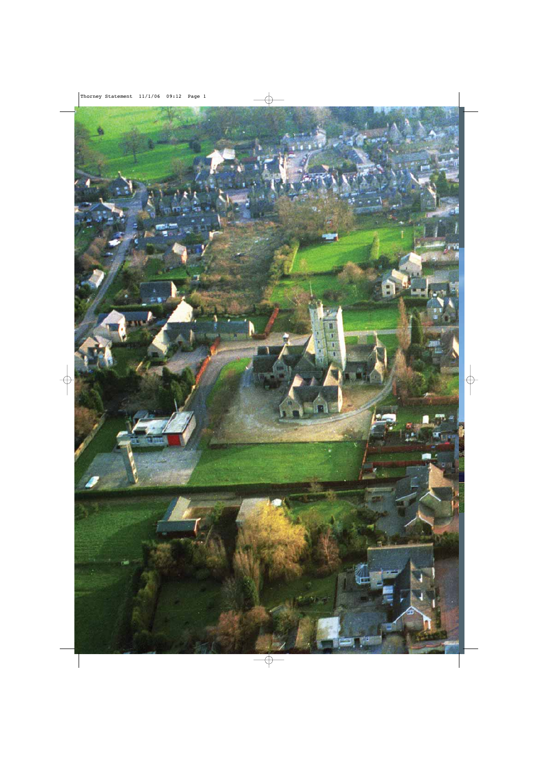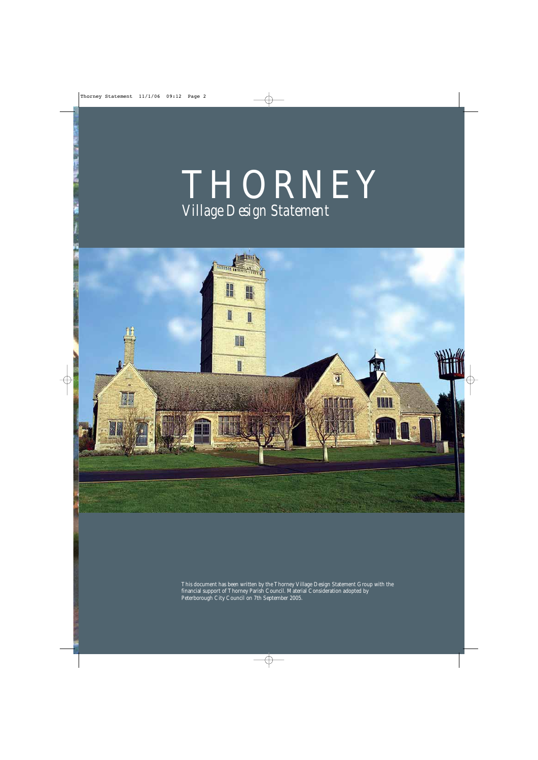# THORNEY *Village Design Statement*



This document has been written by the Thorney Village Design Statement Group with the financial support of Thorney Parish Council. Material Consideration adopted by Peterborough City Council on 7th September 2005.

 $\oplus$ 

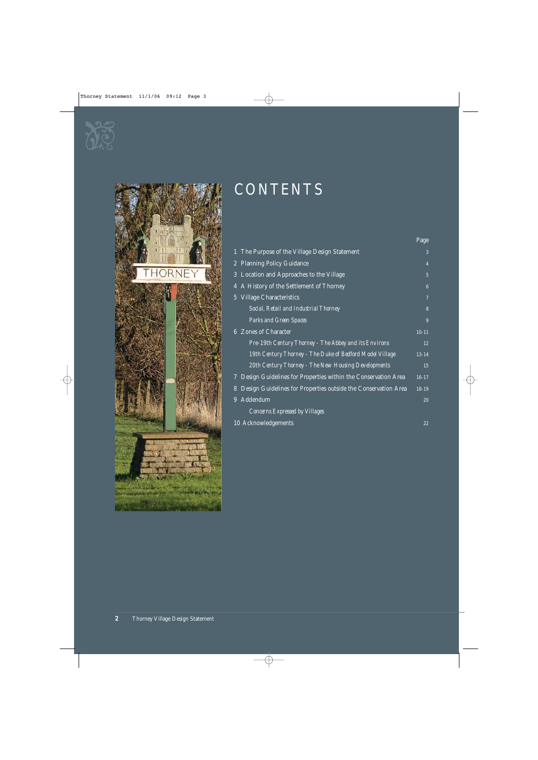|   |                                                                 | Page            |  |
|---|-----------------------------------------------------------------|-----------------|--|
|   | 1 The Purpose of the Village Design Statement                   | 3               |  |
|   | 2 Planning Policy Guidance                                      | 4               |  |
|   | 3 Location and Approaches to the Village                        | $\overline{5}$  |  |
|   | 4 A History of the Settlement of Thorney                        | $6\phantom{1}6$ |  |
|   | 5 Village Characteristics                                       | $\overline{7}$  |  |
|   | Social, Retail and Industrial Thorney                           | 8               |  |
|   | <b>Parks and Green Spaces</b>                                   | 9               |  |
|   | <b>6 Zones of Character</b>                                     | $10 - 11$       |  |
|   | Pre-19th Century Thorney - The Abbey and its Environs           | 12              |  |
|   | 19th Century Thorney - The Duke of Bedford Model Village        | $13 - 14$       |  |
|   | 20th Century Thorney - The New Housing Developments             | 15              |  |
|   | 7 Design Guidelines for Properties within the Conservation Area | $16 - 17$       |  |
| 8 | Design Guidelines for Properties outside the Conservation Area  | $18 - 19$       |  |
|   | 9 Addendum                                                      | 20              |  |
|   | <b>Concerns Expressed by Villages</b>                           |                 |  |
|   | 10 Acknowledgements                                             | 22              |  |



# **CONTENTS**

 $\overline{\bigtriangledown}$  $\frac{1}{\sqrt{2}}$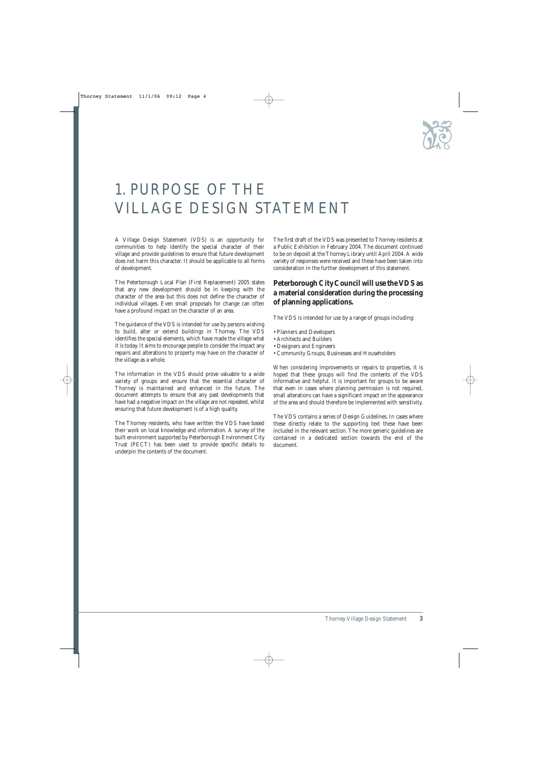# 1. PURPOSE OF THE VILLAGE DESIGN STATEMENT

A Village Design Statement (VDS) is an opportunity for communities to help identify the special character of their village and provide guidelines to ensure that future development does not harm this character. It should be applicable to all forms of development.

The Peterborough Local Plan (First Replacement) 2005 states that any new development should be in keeping with the character of the area but this does not define the character of individual villages. Even small proposals for change can often have a profound impact on the character of an area.

The guidance of the VDS is intended for use by persons wishing to build, alter or extend buildings in Thorney. The VDS identifies the special elements, which have made the village what it is today. It aims to encourage people to consider the impact any repairs and alterations to property may have on the character of the village as a whole.

The information in the VDS should prove valuable to a wide variety of groups and ensure that the essential character of Thorney is maintained and enhanced in the future. The document attempts to ensure that any past developments that have had a negative impact on the village are not repeated, whilst ensuring that future development is of a high quality.

The Thorney residents, who have written the VDS have based their work on local knowledge and information. A survey of the built environment supported by Peterborough Environment City Trust (PECT) has been used to provide specific details to underpin the contents of the document.

The first draft of the VDS was presented to Thorney residents at a Public Exhibition in February 2004. The document continued to be on deposit at the Thorney Library until April 2004. A wide variety of responses were received and these have been taken into consideration in the further development of this statement.

### **Peterborough City Council will use the VDS as a material consideration during the processing of planning applications.**

The VDS is intended for use by a range of groups including:

- Planners and Developers
- Architects and Builders
- Designers and Engineers
- Community Groups, Businesses and Householders

When considering improvements or repairs to properties, it is hoped that these groups will find the contents of the VDS informative and helpful. It is important for groups to be aware that even in cases where planning permission is not required, small alterations can have a significant impact on the appearance of the area and should therefore be implemented with sensitivity.

The VDS contains a series of Design Guidelines. In cases where these directly relate to the supporting text these have been included in the relevant section. The more generic guidelines are contained in a dedicated section towards the end of the document.

Thorney Village Design Statement **3**

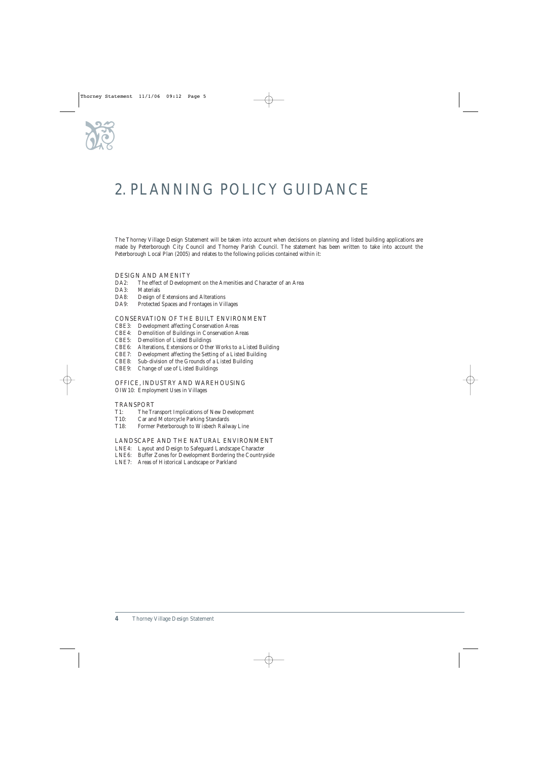Thorney Statement 11/1/06 09:12 Page 5

# 0

# 2. PLANNING POLICY GUIDANCE

The Thorney Village Design Statement will be taken into account when decisions on planning and listed building applications are made by Peterborough City Council and Thorney Parish Council. The statement has been written to take into account the Peterborough Local Plan (2005) and relates to the following policies contained within it:

- 
- DA3: Materials<br>DA8: Design of Design of Extensions and Alterations
- DA9: Protected Spaces and Frontages in Villages

#### DESIGN AND AMENITY

DA2: The effect of Development on the Amenities and Character of an Area

### CONSERVATION OF THE BUILT ENVIRONMENT

- CBE3: Development affecting Conservation Areas
- CBE4: Demolition of Buildings in Conservation Areas
- CBE5: Demolition of Listed Buildings
- CBE6: Alterations, Extensions or Other Works to a Listed Building
- CBE7: Development affecting the Setting of a Listed Building
- CBE8: Sub-division of the Grounds of a Listed Building
- CBE9: Change of use of Listed Buildings

OFFICE, INDUSTRY AND WAREHOUSING OIW10: Employment Uses in Villages

## TRANSPORT<br>T1: The Tra

- T1: The Transport Implications of New Development<br>T10: Car and Motorcycle Parking Standards
- T10: Car and Motorcycle Parking Standards
- Former Peterborough to Wisbech Railway Line

### LANDSCAPE AND THE NATURAL ENVIRONMENT

- LNE4: Layout and Design to Safeguard Landscape Character
- LNE6: Buffer Zones for Development Bordering the Countryside
- LNE7: Areas of Historical Landscape or Parkland

**4** Thorney Village Design Statement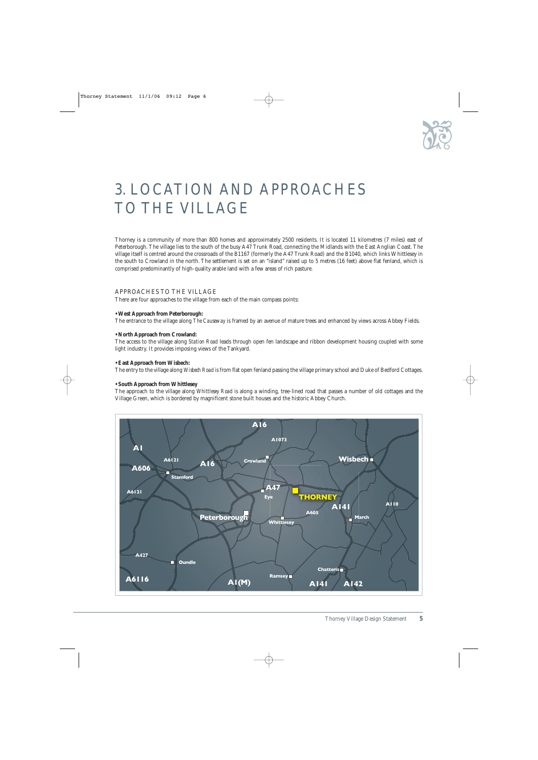# 3. LOCATION AND APPROACHES TO THE VILLAGE

Thorney is a community of more than 800 homes and approximately 2500 residents. It is located 11 kilometres (7 miles) east of Peterborough. The village lies to the south of the busy A47 Trunk Road, connecting the Midlands with the East Anglian Coast. The village itself is centred around the crossroads of the B1167 (formerly the A47 Trunk Road) and the B1040, which links Whittlesey in the south to Crowland in the north. The settlement is set on an "island" raised up to 5 metres (16 feet) above flat fenland, which is comprised predominantly of high-quality arable land with a few areas of rich pasture.

### APPROACHES TO THE VILLAGE

There are four approaches to the village from each of the main compass points:

#### **• West Approach from Peterborough:**

The entrance to the village along *The Causeway* is framed by an avenue of mature trees and enhanced by views across Abbey Fields.

#### **• North Approach from Crowland:**

The access to the village along *Station Road* leads through open fen landscape and ribbon development housing coupled with some light industry. It provides imposing views of the Tankyard.

### **• East Approach from Wisbech:**

The entry to the village along *Wisbech Road* is from flat open fenland passing the village primary school and Duke of Bedford Cottages.

#### **• South Approach from Whittlesey**

The approach to the village along *Whittlesey Road* is along a winding, tree-lined road that passes a number of old cottages and the Village Green, which is bordered by magnificent stone built houses and the historic Abbey Church.

Thorney Village Design Statement **5**



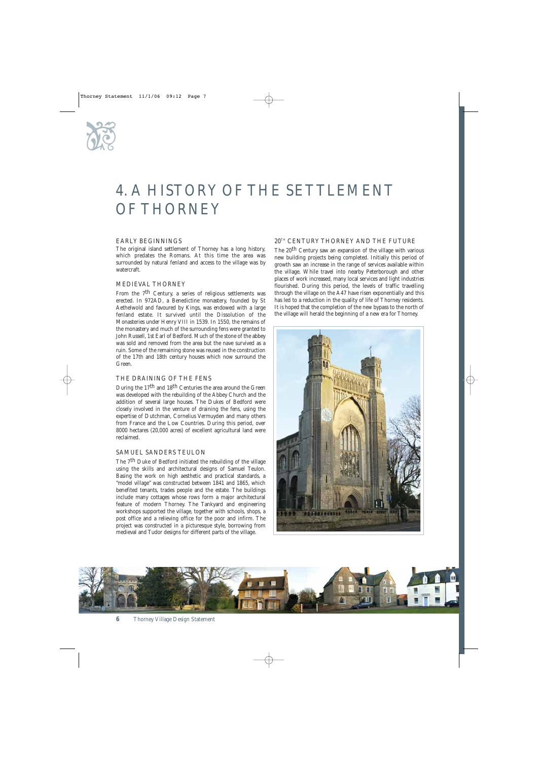# 4. A HISTORY OF THE SETTLEMENT OF THORNEY

#### EARLY BEGINNINGS

The original island settlement of Thorney has a long history, which predates the Romans. At this time the area was surrounded by natural fenland and access to the village was by watercraft.

#### MEDIEVAL THORNEY

From the 7<sup>th</sup> Century, a series of religious settlements was erected. In 972AD, a Benedictine monastery, founded by St Aethelwold and favoured by Kings, was endowed with a large fenland estate. It survived until the Dissolution of the Monasteries under Henry VIII in 1539. In 1550, the remains of the monastery and much of the surrounding fens were granted to John Russell, 1st Earl of Bedford. Much of the stone of the abbey was sold and removed from the area but the nave survived as a ruin. Some of the remaining stone was reused in the construction of the 17th and 18th century houses which now surround the Green.

#### THE DRAINING OF THE FENS

The 7<sup>th</sup> Duke of Bedford initiated the rebuilding of the village using the skills and architectural designs of Samuel Teulon. Basing the work on high aesthetic and practical standards, a "model village" was constructed between 1841 and 1865, which benefited tenants, trades people and the estate. The buildings include many cottages whose rows form a major architectural feature of modern Thorney. The Tankyard and engineering workshops supported the village, together with schools, shops, a post office and a relieving office for the poor and infirm. The project was constructed in a picturesque style, borrowing from medieval and Tudor designs for different parts of the village.

During the 17th and 18th Centuries the area around the Green was developed with the rebuilding of the Abbey Church and the addition of several large houses. The Dukes of Bedford were closely involved in the venture of draining the fens, using the expertise of Dutchman, Cornelius Vermuyden and many others from France and the Low Countries. During this period, over 8000 hectares (20,000 acres) of excellent agricultural land were reclaimed.

### SAMUEL SANDERS TEULON

The 20<sup>th</sup> Century saw an expansion of the village with various new building projects being completed. Initially this period of growth saw an increase in the range of services available within the village. While travel into nearby Peterborough and other places of work increased, many local services and light industries flourished. During this period, the levels of traffic travelling through the village on the A47 have risen exponentially and this has led to a reduction in the quality of life of Thorney residents. It is hoped that the completion of the new bypass to the north of the village will herald the beginning of a new era for Thorney.







**6** Thorney Village Design Statement

#### 20TH CENTURY THORNEY AND THE FUTURE

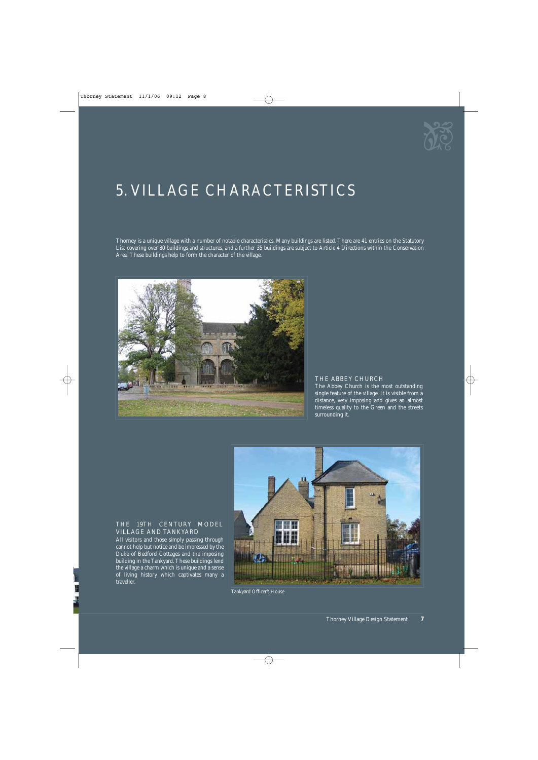# 5. VILLAGE CHARACTERISTICS

Thorney is a unique village with a number of notable characteristics. Many buildings are listed. There are 41 entries on the Statutory List covering over 80 buildings and structures, and a further 35 buildings are subject to Article 4 Directions within the Conservation Area. These buildings help to form the character of the village.



THE ABBEY CHURCH

The Abbey Church is the most outstanding single feature of the village. It is visible from a distance, very imposing and gives an almost timeless quality to the Green and the streets surrounding it.



### THE 19TH CENTURY MODEL VILLAGE AND TANKYARD



All visitors and those simply passing through cannot help but notice and be impressed by the Duke of Bedford Cottages and the imposing building in the Tankyard. These buildings lend the village a charm which is unique and a sense J. 3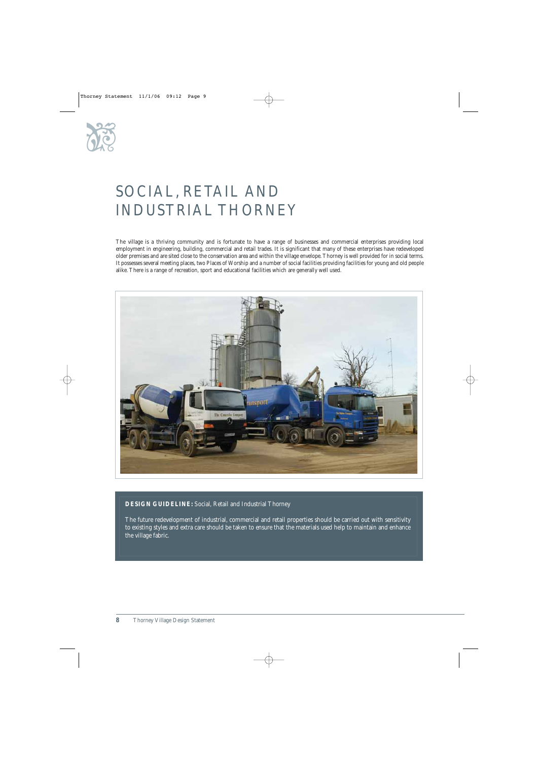# SOCIAL, RETAIL AND INDUSTRIAL THORNEY

The village is a thriving community and is fortunate to have a range of businesses and commercial enterprises providing local employment in engineering, building, commercial and retail trades. It is significant that many of these enterprises have redeveloped older premises and are sited close to the conservation area and within the village envelope. Thorney is well provided for in social terms. It possesses several meeting places, two Places of Worship and a number of social facilities providing facilities for young and old people alike. There is a range of recreation, sport and educational facilities which are generally well used.



**8** Thorney Village Design Statement



**DESIGN GUIDELINE:** Social, Retail and Industrial Thorney

The future redevelopment of industrial, commercial and retail properties should be carried out with sensitivity to existing styles and extra care should be taken to ensure that the materials used help to maintain and enhance the village fabric.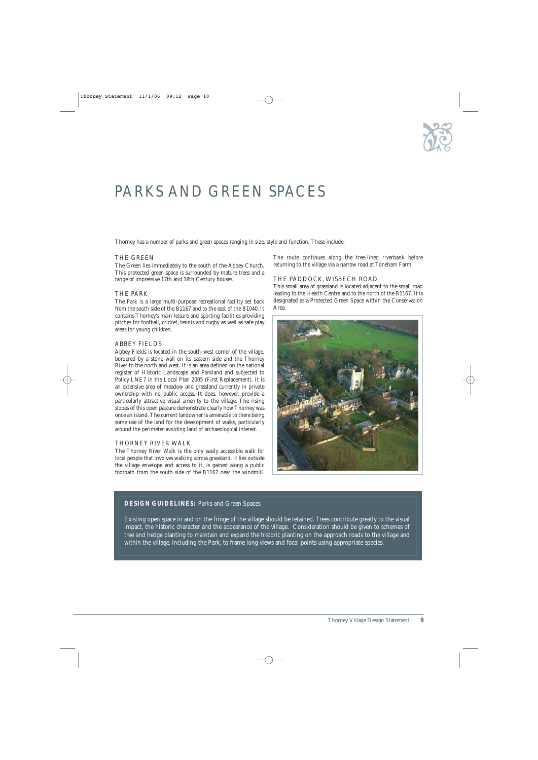Thorney Statement 11/1/06 09:12 Page 10



# PARKS AND GREEN SPACES

Thorney has a number of parks and green spaces ranging in size, style and function. These include:

#### THE GREEN

The Green lies immediately to the south of the Abbey Church. This protected green space is surrounded by mature trees and a range of impressive 17th and 18th Century houses.

#### THE PARK

The Park is a large multi-purpose recreational facility set back from the south side of the B1167 and to the east of the B1040. It contains Thorney's main leisure and sporting facilities providing pitches for football, cricket, tennis and rugby as well as safe play areas for young children.

#### ABBEY FIELDS

Abbey Fields is located in the south-west corner of the village, bordered by a stone wall on its eastern side and the Thorney River to the north and west. It is an area defined on the national register of Historic Landscape and Parkland and subjected to Policy LNE7 in the Local Plan 2005 (First Replacement). It is an extensive area of meadow and grassland currently in private ownership with no public access. It does, however, provide a particularly attractive visual amenity to the village. The rising slopes of this open pasture demonstrate clearly how Thorney was once an island. The current landowner is amenable to there being some use of the land for the development of walks, particularly around the perimeter avoiding land of archaeological interest.

#### THORNEY RIVER WALK

The Thorney River Walk is the only easily accessible walk for local people that involves walking across grassland. It lies outside the village envelope and access to it, is gained along a public footpath from the south side of the B1167 near the windmill. The route continues along the tree-lined riverbank before returning to the village via a narrow road at Toneham Farm.

#### THE PADDOCK, WISBECH ROAD

This small area of grassland is located adjacent to the small road leading to the Health Centre and to the north of the B1167. It is designated as a Protected Green Space within the Conservation Area.



### **DESIGN GUIDELINES:** Parks and Green Spaces

Existing open space in and on the fringe of the village should be retained. Trees contribute greatly to the visual impact, the historic character and the appearance of the village. Consideration should be given to schemes of tree and hedge planting to maintain and expand the historic planting on the approach roads to the village and within the village, including the Park, to frame long views and focal points using appropriate species.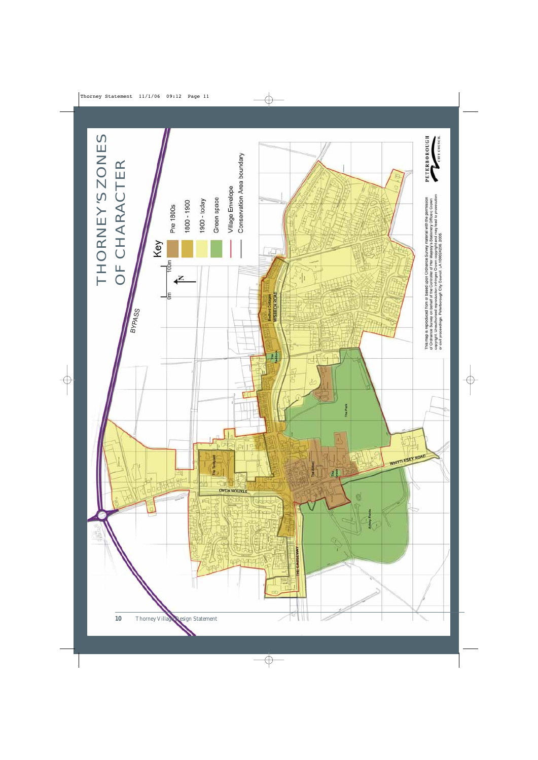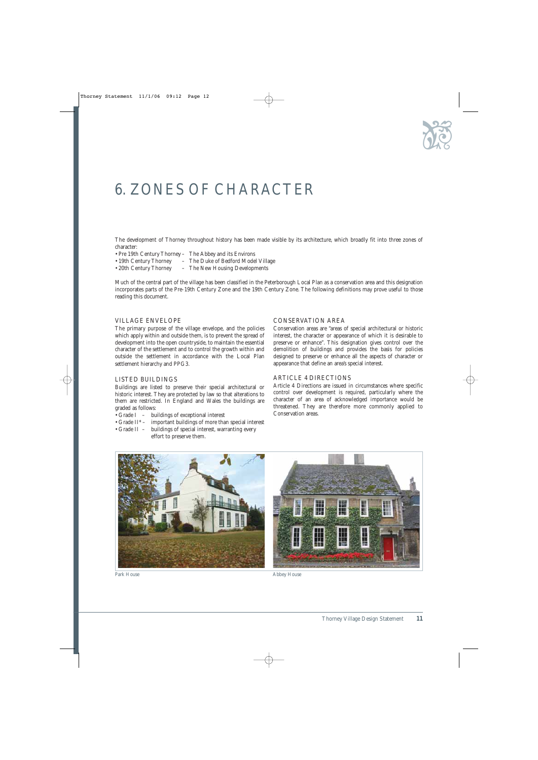# 6. ZONES OF CHARACTER

The development of Thorney throughout history has been made visible by its architecture, which broadly fit into three zones of character:

- Pre 19th Century Thorney The Abbey and its Environs
- 19th Century Thorney The Duke of Bedford Model Village
- 20th Century Thorney The New Housing Developments

Much of the central part of the village has been classified in the Peterborough Local Plan as a conservation area and this designation incorporates parts of the Pre-19th Century Zone and the 19th Century Zone. The following definitions may prove useful to those reading this document.

### VILLAGE ENVELOPE

The primary purpose of the village envelope, and the policies which apply within and outside them, is to prevent the spread of development into the open countryside, to maintain the essential character of the settlement and to control the growth within and outside the settlement in accordance with the Local Plan settlement hierarchy and PPG3.

#### LISTED BUILDINGS

Buildings are listed to preserve their special architectural or historic interest. They are protected by law so that alterations to them are restricted. In England and Wales the buildings are graded as follows:

- Grade I buildings of exceptional interest
- Grade II\* important buildings of more than special interest
- Grade II buildings of special interest, warranting every effort to preserve them.

#### CONSERVATION AREA

Conservation areas are "areas of special architectural or historic interest, the character or appearance of which it is desirable to preserve or enhance". This designation gives control over the demolition of buildings and provides the basis for policies designed to preserve or enhance all the aspects of character or appearance that define an area's special interest.

### ARTICLE 4 DIRECTIONS

Article 4 Directions are issued in circumstances where specific control over development is required, particularly where the character of an area of acknowledged importance would be threatened. They are therefore more commonly applied to Conservation areas.





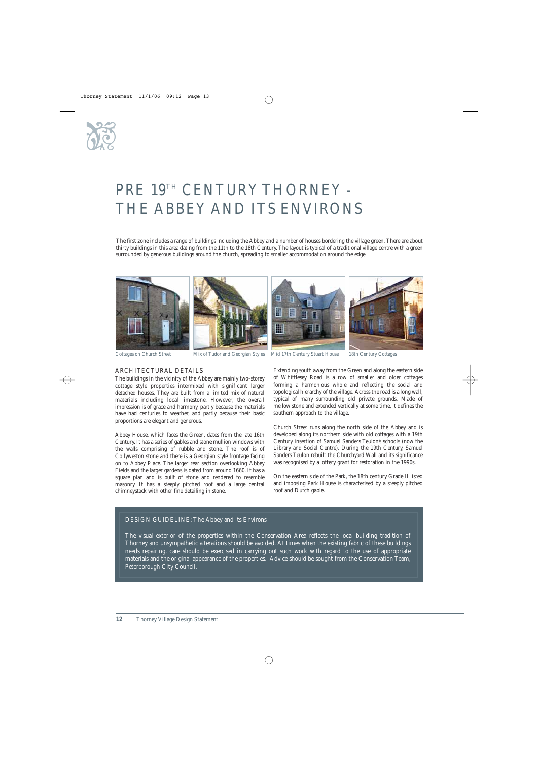# PRE 19TH CENTURY THORNEY -THE ABBEY AND ITS ENVIRONS

The first zone includes a range of buildings including the Abbey and a number of houses bordering the village green. There are about thirty buildings in this area dating from the 11th to the 18th Century. The layout is typical of a traditional village centre with a green surrounded by generous buildings around the church, spreading to smaller accommodation around the edge.



Cottages on Church Street Mix of Tudor and Georgian Styles Mid 17th Century Stuart House 18th Century Cottages



#### ARCHITECTURAL DETAILS

The buildings in the vicinity of the Abbey are mainly two-storey cottage style properties intermixed with significant larger detached houses. They are built from a limited mix of natural materials including local limestone. However, the overall impression is of grace and harmony, partly because the materials have had centuries to weather, and partly because their basic proportions are elegant and generous.

Abbey House, which faces the Green, dates from the late 16th Century. It has a series of gables and stone mullion windows with the walls comprising of rubble and stone. The roof is of Collyweston stone and there is a Georgian style frontage facing on to Abbey Place. The larger rear section overlooking Abbey Fields and the larger gardens is dated from around 1660. It has a square plan and is built of stone and rendered to resemble masonry. It has a steeply pitched roof and a large central chimneystack with other fine detailing in stone.

Extending south away from the Green and along the eastern side of Whittlesey Road is a row of smaller and older cottages forming a harmonious whole and reflecting the social and topological hierarchy of the village. Across the road is a long wall, typical of many surrounding old private grounds. Made of mellow stone and extended vertically at some time, it defines the southern approach to the village.

Church Street runs along the north side of the Abbey and is developed along its northern side with old cottages with a 19th Century insertion of Samuel Sanders Teulon's schools (now the Library and Social Centre). During the 19th Century, Samuel Sanders Teulon rebuilt the Churchyard Wall and its significance was recognised by a lottery grant for restoration in the 1990s.

On the eastern side of the Park, the 18th century Grade II listed and imposing Park House is characterised by a steeply pitched roof and Dutch gable.



### DESIGN GUIDELINE: The Abbey and its Environs

The visual exterior of the properties within the Conservation Area reflects the local building tradition of Thorney and unsympathetic alterations should be avoided. At times when the existing fabric of these buildings needs repairing, care should be exercised in carrying out such work with regard to the use of appropriate materials and the original appearance of the properties. Advice should be sought from the Conservation Team, Peterborough City Council.

12 Thorney Village Design Statement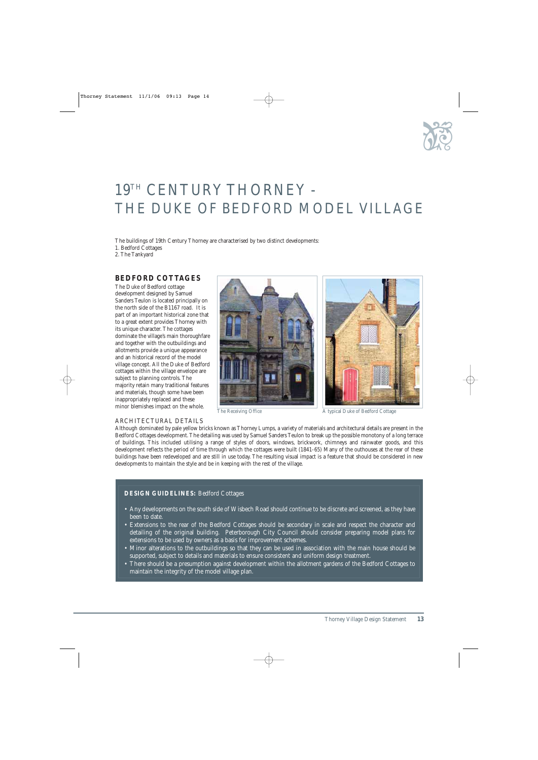### **BEDFORD COTTAGES**

The Duke of Bedford cottage development designed by Samuel Sanders Teulon is located principally on the north side of the B1167 road. It is part of an important historical zone that to a great extent provides Thorney with its unique character. The cottages dominate the village's main thoroughfare and together with the outbuildings and allotments provide a unique appearance and an historical record of the model village concept. All the Duke of Bedford cottages within the village envelope are subject to planning controls. The majority retain many traditional features and materials, though some have been inappropriately replaced and these minor blemishes impact on the whole.



The Receiving Office A typical Duke of Bedford Cottage

#### ARCHITECTURAL DETAILS

# 19TH CENTURY THORNEY -THE DUKE OF BEDFORD MODEL VILLAGE

Although dominated by pale yellow bricks known as Thorney Lumps, a variety of materials and architectural details are present in the Bedford Cottages development. The detailing was used by Samuel Sanders Teulon to break up the possible monotony of a long terrace of buildings. This included utilising a range of styles of doors, windows, brickwork, chimneys and rainwater goods, and this development reflects the period of time through which the cottages were built (1841-65) Many of the outhouses at the rear of these buildings have been redeveloped and are still in use today. The resulting visual impact is a feature that should be considered in new developments to maintain the style and be in keeping with the rest of the village.

Thorney Village Design Statement **13**



The buildings of 19th Century Thorney are characterised by two distinct developments: 1. Bedford Cottages 2. The Tankyard

### **DESIGN GUIDELINES:** Bedford Cottages

- Any developments on the south side of Wisbech Road should continue to be discrete and screened, as they have been to date.
- Extensions to the rear of the Bedford Cottages should be secondary in scale and respect the character and detailing of the original building. Peterborough City Council should consider preparing model plans for extensions to be used by owners as a basis for improvement schemes.
- Minor alterations to the outbuildings so that they can be used in association with the main house should be supported, subject to details and materials to ensure consistent and uniform design treatment.
- There should be a presumption against development within the allotment gardens of the Bedford Cottages to maintain the integrity of the model village plan.

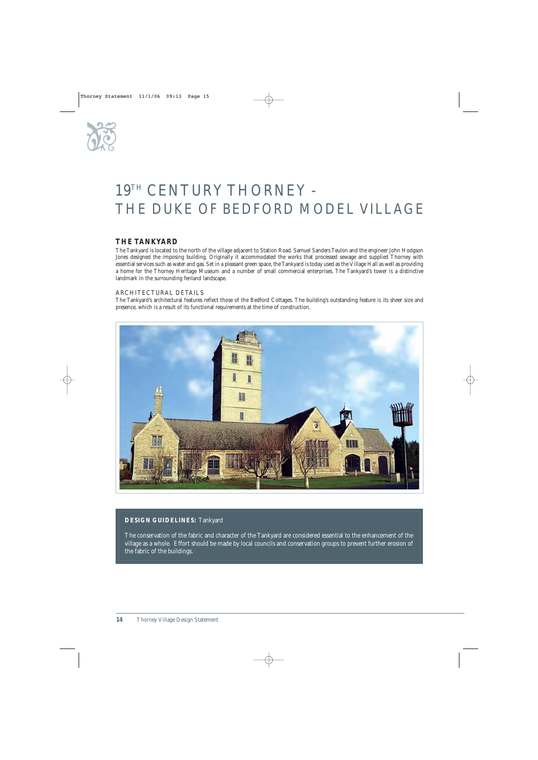Thorney Statement 11/1/06 09:13 Page 15



### **THE TANKYARD**

The Tankyard is located to the north of the village adjacent to Station Road. Samuel Sanders Teulon and the engineer John Hodgson Jones designed the imposing building. Originally it accommodated the works that processed sewage and supplied Thorney with essential services such as water and gas. Set in a pleasant green space, the Tankyard is today used as the Village Hall as well as providing a home for the Thorney Heritage Museum and a number of small commercial enterprises. The Tankyard's tower is a distinctive landmark in the surrounding fenland landscape.

# 19TH CENTURY THORNEY -THE DUKE OF BEDFORD MODEL VILLAGE

#### ARCHITECTURAL DETAILS

The Tankyard's architectural features reflect those of the Bedford Cottages. The building's outstanding feature is its sheer size and presence, which is a result of its functional requirements at the time of construction.



### **DESIGN GUIDELINES:** Tankyard

The conservation of the fabric and character of the Tankyard are considered essential to the enhancement of the village as a whole. Effort should be made by local councils and conservation groups to prevent further erosion of the fabric of the buildings.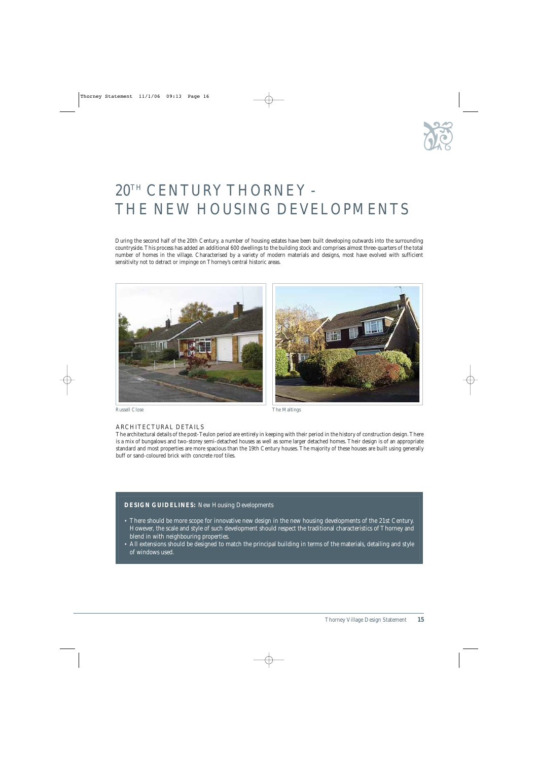Thorney Statement 11/1/06 09:13 Page 16



# 20TH CENTURY THORNEY - THE NEW HOUSING DEVELOPMENTS

During the second half of the 20th Century, a number of housing estates have been built developing outwards into the surrounding countryside. This process has added an additional 600 dwellings to the building stock and comprises almost three-quarters of the total number of homes in the village. Characterised by a variety of modern materials and designs, most have evolved with sufficient sensitivity not to detract or impinge on Thorney's central historic areas.



Russell Close The Maltings



#### ARCHITECTURAL DETAILS

The architectural details of the post-Teulon period are entirely in keeping with their period in the history of construction design. There is a mix of bungalows and two-storey semi-detached houses as well as some larger detached homes. Their design is of an appropriate standard and most properties are more spacious than the 19th Century houses. The majority of these houses are built using generally buff or sand-coloured brick with concrete roof tiles.

### **DESIGN GUIDELINES:** New Housing Developments

- There should be more scope for innovative new design in the new housing developments of the 21st Century. However, the scale and style of such development should respect the traditional characteristics of Thorney and blend in with neighbouring properties.
- All extensions should be designed to match the principal building in terms of the materials, detailing and style of windows used.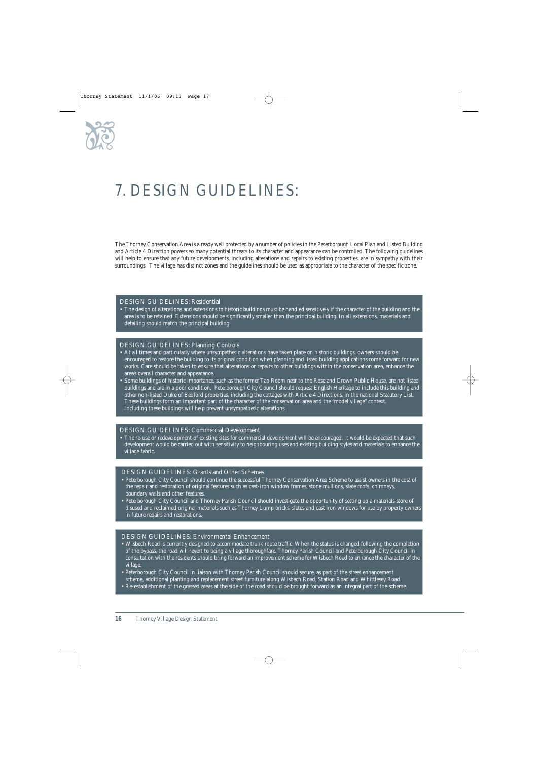# 7. DESIGN GUIDELINES:

#### DESIGN GUIDELINES: Residential

• The design of alterations and extensions to historic buildings must be handled sensitively if the character of the building and the area is to be retained. Extensions should be significantly smaller than the principal building. In all extensions, materials and detailing should match the principal building.

#### DESIGN GUIDELINES: Planning Controls

• At all times and particularly where unsympathetic alterations have taken place on historic buildings, owners should be encouraged to restore the building to its original condition when planning and listed building applications come forward for new works. Care should be taken to ensure that alterations or repairs to other buildings within the conservation area, enhance the area's overall character and appearance.

• Some buildings of historic importance, such as the former Tap Room near to the Rose and Crown Public House, are not listed buildings and are in a poor condition. Peterborough City Council should request English Heritage to include this building and other non-listed Duke of Bedford properties, including the cottages with Article 4 Directions, in the national Statutory List. These buildings form an important part of the character of the conservation area and the "model village" context. Including these buildings will help prevent unsympathetic alterations.

#### DESIGN GUIDELINES: Commercial Development

• The re-use or redevelopment of existing sites for commercial development will be encouraged. It would be expected that such development would be carried out with sensitivity to neighbouring uses and existing building styles and materials to enhance the village fabric.

#### DESIGN GUIDELINES: Grants and Other Schemes

- Peterborough City Council should continue the successful Thorney Conservation Area Scheme to assist owners in the cost of the repair and restoration of original features such as cast-iron window frames, stone mullions, slate roofs, chimneys, boundary walls and other features.
- Peterborough City Council and Thorney Parish Council should investigate the opportunity of setting up a materials store of disused and reclaimed original materials such as Thorney Lump bricks, slates and cast iron windows for use by property owners in future repairs and restorations.

#### DESIGN GUIDELINES: Environmental Enhancement

- Wisbech Road is currently designed to accommodate trunk route traffic. When the status is changed following the completion of the bypass, the road will revert to being a village thoroughfare. Thorney Parish Council and Peterborough City Council in consultation with the residents should bring forward an improvement scheme for Wisbech Road to enhance the character of the village.
- Peterborough City Council in liaison with Thorney Parish Council should secure, as part of the street enhancement

scheme, additional planting and replacement street furniture along Wisbech Road, Station Road and Whittlesey Road. • Re-establishment of the grassed areas at the side of the road should be brought forward as an integral part of the scheme.

The Thorney Conservation Area is already well protected by a number of policies in the Peterborough Local Plan and Listed Building and Article 4 Direction powers so many potential threats to its character and appearance can be controlled. The following guidelines will help to ensure that any future developments, including alterations and repairs to existing properties, are in sympathy with their surroundings. The village has distinct zones and the guidelines should be used as appropriate to the character of the specific zone.

Thorney Statement 11/1/06 09:13 Page 17

# 0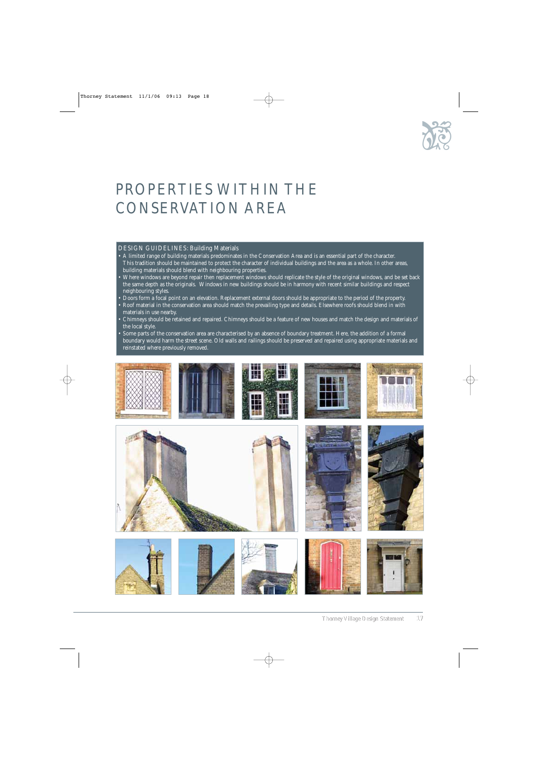Thorney Statement 11/1/06 09:13 Page 18



Thorney Village Design Statement **17** Thorney Village Design Statement

# PROPERTIES WITHIN THE CONSERVATION AREA

### DESIGN GUIDELINES: Building Materials

- A limited range of building materials predominates in the Conservation Area and is an essential part of the character. This tradition should be maintained to protect the character of individual buildings and the area as a whole. In other areas, building materials should blend with neighbouring properties.
- Where windows are beyond repair then replacement windows should replicate the style of the original windows, and be set back the same depth as the originals. Windows in new buildings should be in harmony with recent similar buildings and respect neighbouring styles.
- Doors form a focal point on an elevation. Replacement external doors should be appropriate to the period of the property. • Roof material in the conservation area should match the prevailing type and details. Elsewhere roofs should blend in with
- materials in use nearby. • Chimneys should be retained and repaired. Chimneys should be a feature of new houses and match the design and materials of the local style.
- Some parts of the conservation area are characterised by an absence of boundary treatment. Here, the addition of a formal boundary would harm the street scene. Old walls and railings should be preserved and repaired using appropriate materials and reinstated where previously removed.



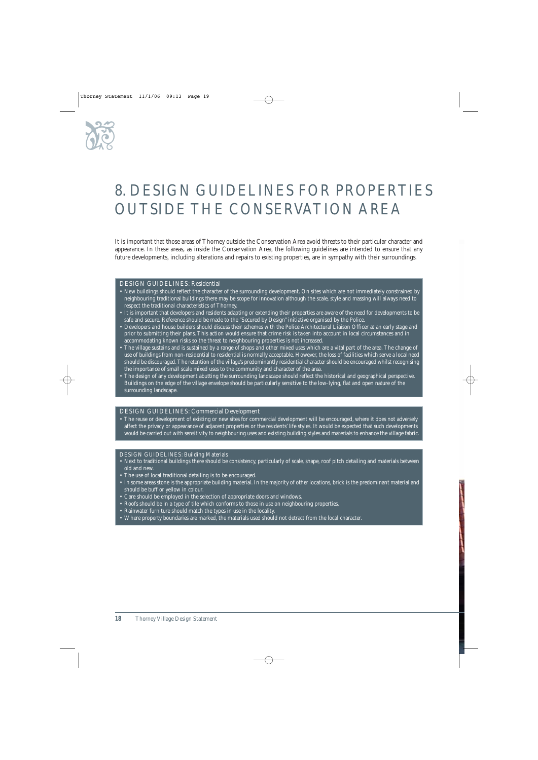

# 8. DESIGN GUIDELINES FOR PROPERTIES OUTSIDE THE CONSERVATION AREA

### DESIGN GUIDELINES: Residential

- New buildings should reflect the character of the surrounding development. On sites which are not immediately constrained by neighbouring traditional buildings there may be scope for innovation although the scale, style and massing will always need to respect the traditional characteristics of Thorney.
- It is important that developers and residents adapting or extending their properties are aware of the need for developments to be safe and secure. Reference should be made to the "Secured by Design" initiative organised by the Police.
- Developers and house builders should discuss their schemes with the Police Architectural Liaison Officer at an early stage and prior to submitting their plans. This action would ensure that crime risk is taken into account in local circumstances and in accommodating known risks so the threat to neighbouring properties is not increased.
- The village sustains and is sustained by a range of shops and other mixed uses which are a vital part of the area. The change of use of buildings from non-residential to residential is normally acceptable. However, the loss of facilities which serve a local need should be discouraged. The retention of the village's predominantly residential character should be encouraged whilst recognising the importance of small scale mixed uses to the community and character of the area.
- The design of any development abutting the surrounding landscape should reflect the historical and geographical perspective. Buildings on the edge of the village envelope should be particularly sensitive to the low-lying, flat and open nature of the surrounding landscape.

- Next to traditional buildings there should be consistency, particularly of scale, shape, roof pitch detailing and materials between old and new.
- The use of local traditional detailing is to be encouraged.
- In some areas stone is the appropriate building material. In the majority of other locations, brick is the predominant material and should be buff or yellow in colour.
- Care should be employed in the selection of appropriate doors and windows.
- Roofs should be in a type of tile which conforms to those in use on neighbouring properties.
- Rainwater furniture should match the types in use in the locality.
- Where property boundaries are marked, the materials used should not detract from the local character.

#### DESIGN GUIDELINES: Commercial Development

• The reuse or development of existing or new sites for commercial development will be encouraged, where it does not adversely affect the privacy or appearance of adjacent properties or the residents' life styles. It would be expected that such developments would be carried out with sensitivity to neighbouring uses and existing building styles and materials to enhance the village fabric.

#### DESIGN GUIDELINES: Building Materials

It is important that those areas of Thorney outside the Conservation Area avoid threats to their particular character and appearance. In these areas, as inside the Conservation Area, the following guidelines are intended to ensure that any future developments, including alterations and repairs to existing properties, are in sympathy with their surroundings.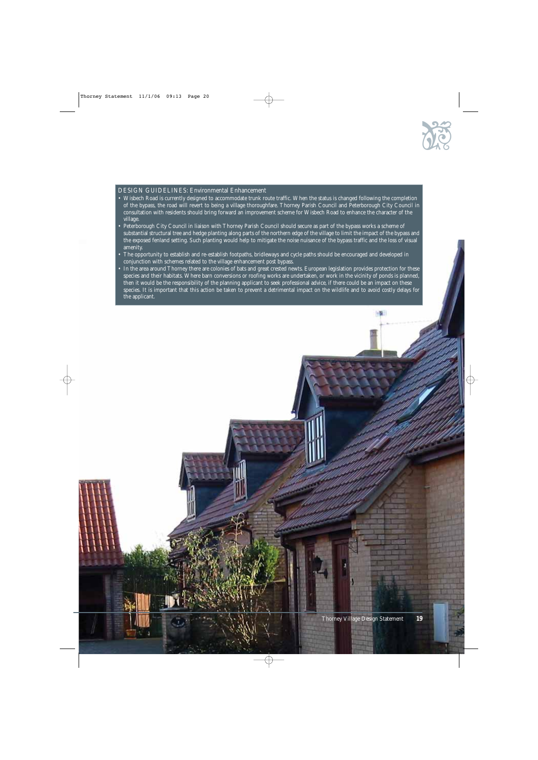



## DESIGN GUIDELINES: Environmental Enhancement

- Wisbech Road is currently designed to accommodate trunk route traffic. When the status is changed following the completion of the bypass, the road will revert to being a village thoroughfare. Thorney Parish Council and Peterborough City Council in consultation with residents should bring forward an improvement scheme for Wisbech Road to enhance the character of the village.
- Peterborough City Council in liaison with Thorney Parish Council should secure as part of the bypass works a scheme of substantial structural tree and hedge planting along parts of the northern edge of the village to limit the impact of the bypass and the exposed fenland setting. Such planting would help to mitigate the noise nuisance of the bypass traffic and the loss of visual amenity.
- The opportunity to establish and re-establish footpaths, bridleways and cycle paths should be encouraged and developed in conjunction with schemes related to the village enhancement post bypass.
- In the area around Thorney there are colonies of bats and great crested newts. European legislation provides protection for these species and their habitats. Where barn conversions or roofing works are undertaken, or work in the vicinity of ponds is planned, then it would be the responsibility of the planning applicant to seek professional advice, if there could be an impact on these species. It is important that this action be taken to prevent a detrimental impact on the wildlife and to avoid costly delays for the applicant.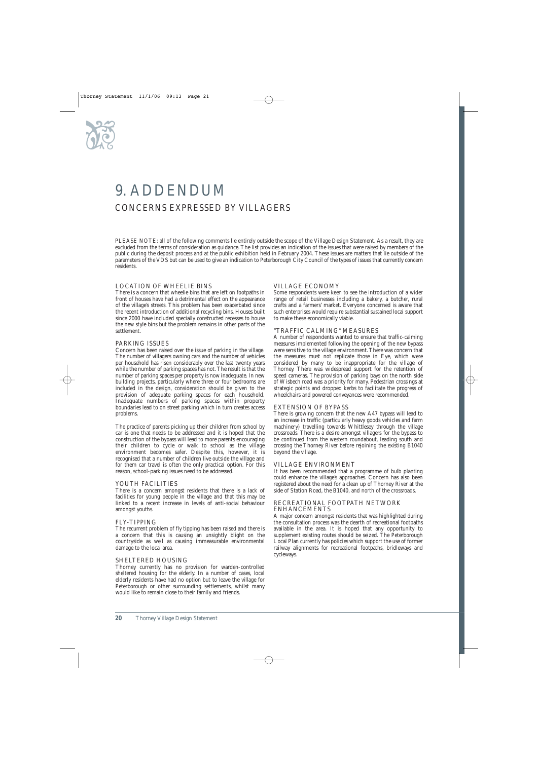

#### LOCATION OF WHEELIE BINS

There is a concern that wheelie bins that are left on footpaths in front of houses have had a detrimental effect on the appearance of the village's streets. This problem has been exacerbated since the recent introduction of additional recycling bins. Houses built since 2000 have included specially constructed recesses to house the new style bins but the problem remains in other parts of the settlement.

#### PARKING ISSUES

Concern has been raised over the issue of parking in the village. The number of villagers owning cars and the number of vehicles per household has risen considerably over the last twenty years while the number of parking spaces has not. The result is that the number of parking spaces per property is now inadequate. In new building projects, particularly where three or four bedrooms are included in the design, consideration should be given to the provision of adequate parking spaces for each household. Inadequate numbers of parking spaces within property boundaries lead to on street parking which in turn creates access problems.

The practice of parents picking up their children from school by car is one that needs to be addressed and it is hoped that the construction of the bypass will lead to more parents encouraging their children to cycle or walk to school as the village environment becomes safer. Despite this, however, it is recognised that a number of children live outside the village and for them car travel is often the only practical option. For this reason, school-parking issues need to be addressed.

#### YOUTH FACILITIES

There is a concern amongst residents that there is a lack of facilities for young people in the village and that this may be linked to a recent increase in levels of anti-social behaviour amongst youths.

#### FLY-TIPPING

The recurrent problem of fly tipping has been raised and there is a concern that this is causing an unsightly blight on the countryside as well as causing immeasurable environmental damage to the local area.

#### SHELTERED HOUSING

Thorney currently has no provision for warden-controlled sheltered housing for the elderly. In a number of cases elderly residents have had no option but to leave the village for Peterborough or other surrounding settlements, whilst many would like to remain close to their family and friends.

## 9. ADDENDUM CONCERNS EXPRESSED BY VILLAGERS

#### VILLAGE ECONOMY

Some respondents were keen to see the introduction of a wider range of retail businesses including a bakery, a butcher, rural crafts and a farmers' market. Everyone concerned is aware that such enterprises would require substantial sustained local support to make these economically viable.

#### "TRAFFIC CALMING" MEASURES

A number of respondents wanted to ensure that traffic-calming measures implemented following the opening of the new bypass were sensitive to the village environment. There was concern that the measures must not replicate those in Eye, which were considered by many to be inappropriate for the village of Thorney. There was widespread support for the retention of speed cameras. The provision of parking bays on the north side of Wisbech road was a priority for many. Pedestrian crossings at strategic points and dropped kerbs to facilitate the progress of wheelchairs and powered conveyances were recommended.

#### EXTENSION OF BYPASS

There is growing concern that the new A47 bypass will lead to an increase in traffic (particularly heavy goods vehicles and farm machinery) travelling towards Whittlesey through the village crossroads. There is a desire amongst villagers for the bypass to be continued from the western roundabout, leading south and crossing the Thorney River before rejoining the existing B1040 beyond the village.

#### VILLAGE ENVIRONMENT

It has been recommended that a programme of bulb planting could enhance the village's approaches. Concern has also been registered about the need for a clean up of Thorney River at the side of Station Road, the B1040, and north of the crossroads.

#### RECREATIONAL FOOTPATH NETWORK ENHANCEMENTS

A major concern amongst residents that was highlighted during the consultation process was the dearth of recreational footpaths available in the area. It is hoped that any opportunity to supplement existing routes should be seized. The Peterborough Local Plan currently has policies which support the use of former railway alignments for recreational footpaths, bridleways and cycleways.

20 Thorney Village Design Statement

PLEASE NOTE: all of the following comments lie entirely outside the scope of the Village Design Statement. As a result, they are excluded from the terms of consideration as guidance. The list provides an indication of the issues that were raised by members of the public during the deposit process and at the public exhibition held in February 2004. These issues are matters that lie outside of the parameters of the VDS but can be used to give an indication to Peterborough City Council of the types of issues that currently concern residents.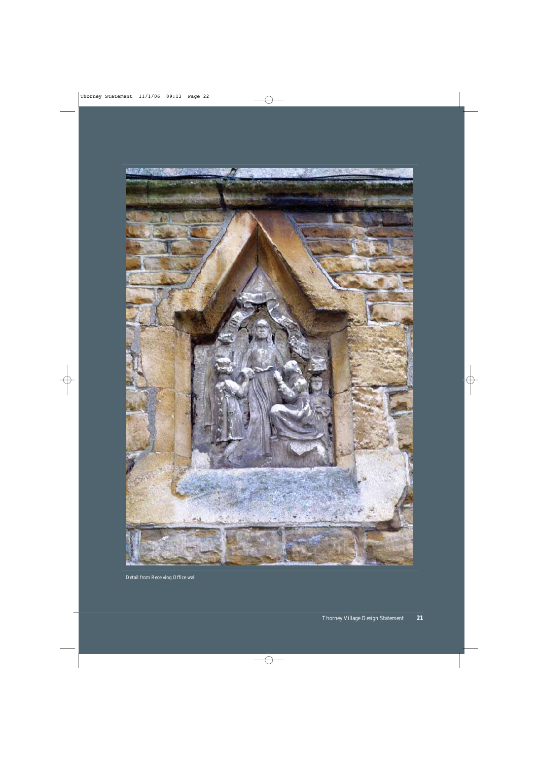

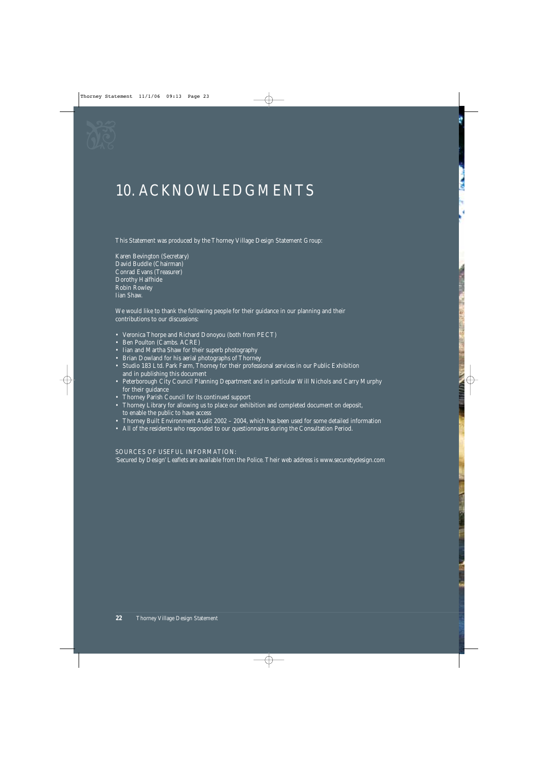# 10. ACKNOWLEDGMENTS

This Statement was produced by the Thorney Village Design Statement Group:

Karen Bevington (Secretary) David Buddle (Chairman) Conrad Evans (Treasurer) Dorothy Halfhide Robin Rowley Iian Shaw.

We would like to thank the following people for their guidance in our planning and their contributions to our discussions:

- Veronica Thorpe and Richard Donoyou (both from PECT)
- Ben Poulton (Cambs. ACRE)
- Iian and Martha Shaw for their superb photography
- Brian Dowland for his aerial photographs of Thorney
- Studio 183 Ltd. Park Farm, Thorney for their professional services in our Public Exhibition and in publishing this document
- Peterborough City Council Planning Department and in particular Will Nichols and Carry Murphy for their guidance
- Thorney Parish Council for its continued support
- Thorney Library for allowing us to place our exhibition and completed document on deposit, to enable the public to have access
- Thorney Built Environment Audit 2002 2004, which has been used for some detailed information
- All of the residents who responded to our questionnaires during the Consultation Period.

SOURCES OF USEFUL INFORMATION:

'Secured by Design' Leaflets are available from the Police. Their web address is www.securebydesign.com